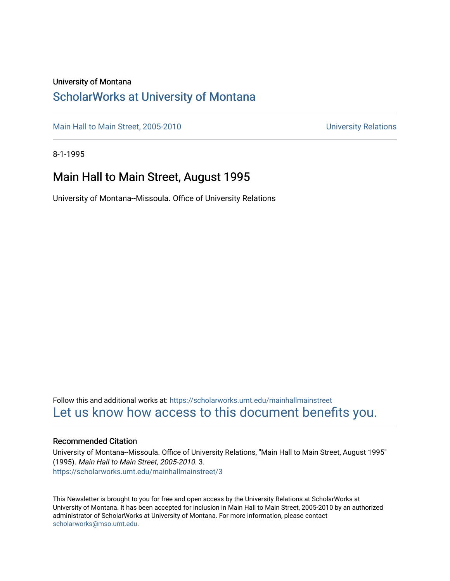### University of Montana

### [ScholarWorks at University of Montana](https://scholarworks.umt.edu/)

[Main Hall to Main Street, 2005-2010](https://scholarworks.umt.edu/mainhallmainstreet) Main Hall to Main Street, 2005-2010

8-1-1995

### Main Hall to Main Street, August 1995

University of Montana--Missoula. Office of University Relations

Follow this and additional works at: [https://scholarworks.umt.edu/mainhallmainstreet](https://scholarworks.umt.edu/mainhallmainstreet?utm_source=scholarworks.umt.edu%2Fmainhallmainstreet%2F3&utm_medium=PDF&utm_campaign=PDFCoverPages) [Let us know how access to this document benefits you.](https://goo.gl/forms/s2rGfXOLzz71qgsB2) 

### Recommended Citation

University of Montana--Missoula. Office of University Relations, "Main Hall to Main Street, August 1995" (1995). Main Hall to Main Street, 2005-2010. 3. [https://scholarworks.umt.edu/mainhallmainstreet/3](https://scholarworks.umt.edu/mainhallmainstreet/3?utm_source=scholarworks.umt.edu%2Fmainhallmainstreet%2F3&utm_medium=PDF&utm_campaign=PDFCoverPages) 

This Newsletter is brought to you for free and open access by the University Relations at ScholarWorks at University of Montana. It has been accepted for inclusion in Main Hall to Main Street, 2005-2010 by an authorized administrator of ScholarWorks at University of Montana. For more information, please contact [scholarworks@mso.umt.edu.](mailto:scholarworks@mso.umt.edu)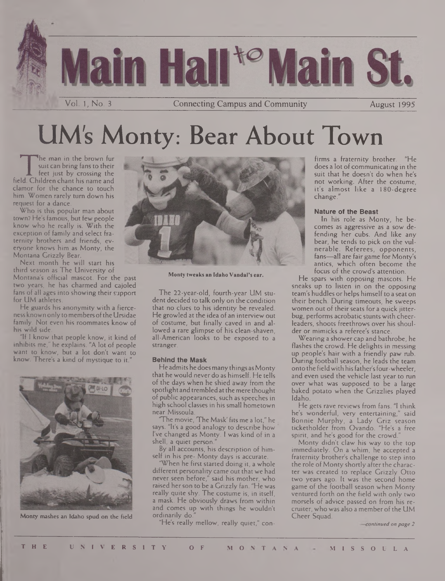

# UM's Monty: Bear About Town

The man in the brown fur<br>suit can bring fans to their<br>field. Children chant his name and he man in the brown fur suit can bring fans to their feet just by crossing the clamor for the chance to touch him. Women rarely turn down his request for a dance.

Who is this popular man about town? He's famous, but few people know who he really is. With the exception of family and select fraternity brothers and friends, everyone knows him as Monty, the Montana Grizzly Bear.

Next month he will start his third season as The University of Montana's official mascot. For the past two years, he has charmed and cajoled fans of all ages into showing their support for UM athletes.

He guards his anonymity with a fierceness known only tomembers ofthe Ursidae family. Not even his roommates know of his wild side.

"If <sup>1</sup> know that people know, it kind of inhibits me," he explains. "A lot of people want to know, but a lot don't want to know. There's a kind of mystique to it.



Monty mashes an Idaho spud on the field



**Monty tweaks an Idaho Vandal's ear.**

The 22-year-old, fourth-year UM student decided to talk only on the condition that no clues to his identity be revealed. He growled at the idea of an interview out of costume, but finally caved in and allowed a rare glimpse of his clean-shaven, all-American looks to be exposed to a stranger.

### **Behind the Mask**

He admits he doesmany things as Monty that he would never do as himself. He tells of the days when he shied away from the spotlight and trembled at the mere thought of public appearances, such as speeches in high school classes in his small hometown near Missoula.

'The movie, The Mask' fits me a lot," he says. "It's a good analogy to describe how I've changed as Monty. <sup>I</sup> was kind of in a shell, a quiet person."

By all accounts, his description of himself in his pre- Monty days is accurate.

"When he first started doing it, a whole different personality came out that we had never seen before," said his mother, who raised her son to be a Grizzly fan. "He was really quite shy. The costume is, in itself, a mask. He obviously draws from within and comes up with things he wouldn't ordinarily do."

"He's really mellow, really quiet," con-

firms a fraternity brother. "He does a lot of communicating in the suit that he doesn't do when he's not working. After the costume, it's almost like a 180-degree change."

#### **Nature of the Beast**

In his role as Monty, he becomes as aggressive as a sow defending her cubs. And like any bear, he tends to pick on the vulnerable. Referees, opponents, fans—all are fair game for Monty's antics, which often become the focus of the crowd's attention.

He spars with opposing mascots. He sneaks up to listen in on the opposing team's huddles or helps himself to a seat on their bench. During timeouts, he sweeps women out of their seats for a quick jitterbug, performs acrobatic stunts with cheerleaders, shoots freethrows over his shoulder or mimicks a referee's stance.

Wearing a shower cap and bathrobe, he flashes the crowd. He delights in messing up people's hair with a friendly paw rub. During football season, he leads the team onto the field with his father's four-wheeler, and even used the vehicle last year to run over what was supposed to be a large baked potato when the Grizzlies played Idaho.

He gets rave reviews from fans. "I think he's wonderful, very entertaining," said Bonnie Murphy, a Lady Griz season ticketholder from Ovando. "He's a free spirit, and he's good for the crowd."

Monty didn't claw his way to the top immediately. On a whim, he accepted a fraternity brother's challenge to step into the role of Monty shortly after the character was created to replace Grizzly Otto two years ago. It was the second home game of the football season when Monty ventured forth on the field with only two morsels of advice passed on from his recruiter, who was also a member of the UM Cheer Squad.

*continued on page 2*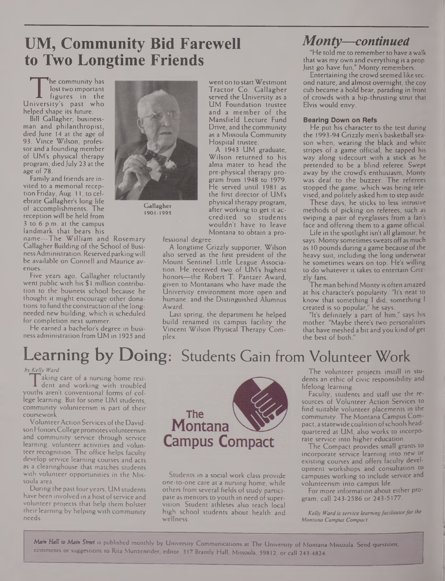## **UM, Community Bid Farewell to Two Longtime Friends**

The community has<br>
lost two important<br>
luniversity's past who he community has lost two important figures in the helped shape its future.

Bill Gallagher, businessman and philanthropist, died June 14 at the age of 93. Vince Wilson, professor and a founding member of UM's physical therapy program, diedJuly 23 at the age of 78.

Family and friends are invited to a memorial reception Friday, Aug. 11, to celebrate Gallagher's long life of accomplishments. The reception will be held from 3 to 6 p.m. at the campus landmark that bears his

name—The William and Rosemary Gallagher Building of the School of BusinessAdministration. Reserved parkingwill be available on Connell and Maurice avenues.

Five years ago, Gallagher reluctantly went public with his \$1 million contribution to the business school because he thought it might encourage other donations to fund the construction of the longneeded new building, which is scheduled for completion next summer.

He earned a bachelor's degree in business administration from UM in 1925 and



**1901-1995**

went on to start Westmont Tractor Co. Gallagher served the University as a UM Foundation trustee and a member of the Mansfield Lecture Fund Drive, and the community as a Missoula Community Hospital trustee.

A 1943 UM graduate, Wilson returned to his alma mater to head the pre-physical therapy program from 1948 to 1979. He served until 1981 as the first director of UM's physical therapy program, after working to get it accredited so students wouldn't have to leave Montana to obtain a pro-

fessional degree.

A longtime Grizzly supporter, Wilson also served as the first president of the Mount Sentinel Little League Association. He received two of UM's highest honors—the Robert T. Pantzer Award, given to Montanans who have made the University environment more open and humane, and the Distinguished Alumnus Award.

Last spring, the department he helped build renamed its campus facility the Vincent Wilson Physical Therapy Complex.

## *Monty—continued*

"He told me to remember to have a walk that was my own and everything is a prop. Just go have fun," Monty remembers.

Entertaining the crowd seemed like second nature, and almost overnight, the coy cub became a bold bear, parading in front of crowds with a hip-thrusting strut that Elvis would envy.

#### **Bearing Down on Refs**

He put his character to the test during the 1993-94 Grizzly men's basketball season when, wearing the black and white stripes of a game official, he tapped his way along sidecourt with a stick as he pretended to be a blind referee. Swept away by the crowd's enthusiasm, Monty was deaf to the buzzer. The referees stopped the game, which was being televised, and politely asked him to step aside.

These days, he sticks to less intrusive methods of picking on referees, such as swiping a pair of eyeglasses from a fan's face and offering them to a game official.

Life in the spotlight isn't all glamour, he says. Monty sometimes sweats off as much as 10 pounds during a game because of the heavy suit, including the long underwear he sometimes wears on top. He's willing to do whatever it takes to entertain Grizzly fans.

The man behind Monty is often amazed at his character's popularity. "It's neat to know that something <sup>I</sup> did, something <sup>I</sup> created is so popular," he says.

"It's definitely a part of him," says his mother. "Maybe there's two personalities that have meshed a bit and you kind of get the best of both."

# Learning by Doing: Students Gain from Volunteer Work

### **ftv** *Kelly Ward*

aking care of a nursing home resident and working with troubled youths aren't conventional forms of college learning. But for some UM students, community volunteerism is part of their coursework.

Volunteer Action Services of the Davidson Honors College promotes volunteerism and community service through service learning, volunteer activities and volunteer recognition. The office helps faculty develop service learning courses and acts as a clearinghouse that matches students with volunteer opportunities in the Missoula area.

During the past four years, UM students have been involved in a host of service and volunteer projects that help them bolster their learning by helping with community needs.



Students in a social work class provide one-to-one care at a nursing home, while others from several fields of study participate as mentors to youth in need of supervision. Student athletes also teach local high school students about health and wellness.

The volunteer projects instill in students an ethic of civic responsibility and lifelong learning.

Faculty, students and staff use the resources of Volunteer Action Services to find suitable volunteer placements in the community. The Montana Campus Compact, a statewide coalition of schools headquartered at UM, also works to incorporate service into higher education.

The Compact provides small grants to incorporate service learning into new or existing courses and offers faculty development workshops and consultation to campuses working to include service and volunteerism into campus life.

For more information about either program, call 243-2586 or 243-5177.

*Kelly Ward isservice learningfacilitatorforthe Montana Campus Compact*

*Man HaU to Mam Street* is published monthly by University Communications at The University of Montana-Missoula. Send questions, comments or suggestions to Rita Munzenrider, editor, 317 Brantly Hall, Missoula, 59812, or call 243-4824.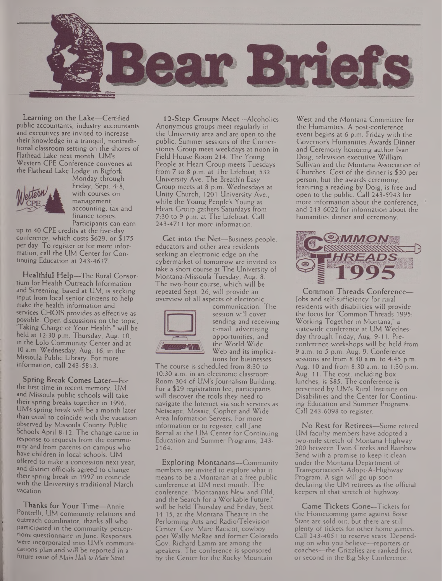

Learning on the Lake—Certified public accountants, industry accountants and executives are invited to increase their knowledge in a tranquil, nontraditional classroom setting on the shores of Flathead Lake next month. UM's Western CPE Conference convenes at the Flathead Lake Lodge in Bigfork



Monday through Friday, Sept. 4-8, with courses on management, accounting, tax and finance topics. Participants can earn

up to 40 CPE credits at the five-day conference, which costs \$629, or \$175 per day. To register or for more information, call the UM Center for Continuing Education at 243-4617.

Healthful Help—The Rural Consortium for Health Outreach Information and Screening, based at UM, is seeking input from local senior citizens to help make the health information and services CHOIS provides as effective as possible. Open discussions on the topic, "Taking Charge of Your Health," will be held at 12:30 p.m. Thursday, Aug. 10, in the Lolo Community Center and at 10 a.m. Wednesday, Aug. 16, in the Missoula Public Library. For more information, call 243-5813.

Spring Break Comes Later—For the first time in recent memory, UM and Missoula public schools will take their spring breaks together in 1996. UM's spring break will be a month later than usual to coincide with the vacation observed by Missoula County Public Schools April 8-12. The change came in response to requests from the community and from parents on campus who have children in local schools. UM offered to make a concession next year, and district officials agreed to change their spring break in 1997 to coincide with the University's traditional March vacation.

Thanks for Your Time—Annie Pontrelli, UM community relations and outreach coordinator, thanks all who participated in the community perceptions questionnaire in June. Responses were incorporated into UM's communications plan and will be reported in a future issue of *Main Hall to Main Street.*

12-Step Groups Meet—Alcoholics Anonymous groups meet regularly in the University area and are open to the public. Summer sessions of the Cornerstones Group meet weekdays at noon in Field House Room 214. The Young People at Heart Group meets Tuesdays from 7 to 8 p.m. at The Lifeboat, 532 University Ave. The Breath'n Easy Group meets at 8 p.m. Wednesdays at Unity Church, 1201 University Ave., while the Young People's Young at Heart Group gathers Saturdays from 7:30 to 9 p.m. at The Lifeboat. Call 243-4711 for more information.

Get into the Net—Business people, educators and other area residents seeking an electronic edge on the cybermarket of tomorrow are invited to take a short course at The University of Montana-Missoula Tuesday, Aug. 8. The two-hour course, which will be repeated Sept. 26, will provide an overview of all aspects of electronic



communication. The session will cover sending and receiving e-mail, advertising opportunities, and the World Wide Web and its implications for businesses.

The course is scheduled from 8:30 to 10:30 a.m. in an electronic classroom, Room 304 of UM's Journalism Building. For a \$29 registration fee, participants will discover the tools they need to navigate the Internet via such services as Netscape, Mosaic, Gopher and Wide Area Information Servers. For more information or to register, call Jane Bernal at the UM Center for Continuing Education and Summer Programs, 243- 2164.

Exploring Montanans—Community members are invited to explore what it means to be a Montanan at a free public conference at UM next month. The conference, "Montanans New and Old, and the Search for a Workable Future, will be held Thursday and Friday, Sept. 14-15, at the Montana Theatre in the Performing Arts and Radio/Television Center. Gov. Marc Racicot, cowboy poet Wally McRae and former Colorado Gov. Richard Lamm are among the speakers. The conference is sponsored by the Center for the Rocky Mountain

West and the Montana Committee for the Humanities. A post-conference event begins at 6 p.m. Friday with the Governor's Humanities Awards Dinner and Ceremony honoring author Ivan Doig, television executive William Sullivan and the Montana Association of Churches. Cost of the dinner is \$30 per person, but the awards ceremony, featuring a reading by Doig, is free and open to the public. Call 243-5943 for more information about the conference, and 243-6022 for information about the humanities dinner and ceremony.



Common Threads Conference— Jobs and self-sufficiency for rural residents with disabilities will provide the focus for "Common Threads 1995: Working Together in Montana," a statewide conference at UM Wednesday through Friday, Aug. 9-11. Preconference workshops will be held from 9 a.m. to 5 p.m. Aug. 9. Conference sessions are from 8:30 a.m. to 4:45 p.m. Aug. 10 and from 8:30 a.m. to 1:30 p.m. Aug. 11. The cost, including box lunches, is \$85. The conference is presented by UM's Rural Institute on Disabilities and the Center for Continuing Education and Summer Programs. Call 243-6098 to register.

No Rest for Retirees—Some retired UM faculty members have adopted a two-mile stretch of Montana Highway 200 between Twin Creeks and Rainbow Bend with a promise to keep it clean under the Montana Department of Transportation's Adopt-A-Highway Program. A sign will go up soon declaring the UM retirees as the official keepers of that stretch of highway.

Game Tickets Gone—Tickets for the Homecoming game against Boise State are sold out, but there are still plenty of tickets for other home games. Call 243-4051 to reserve seats. Depending on who you believe—reporters or coaches—the Grizzlies are ranked first or second in the Big Sky Conference.